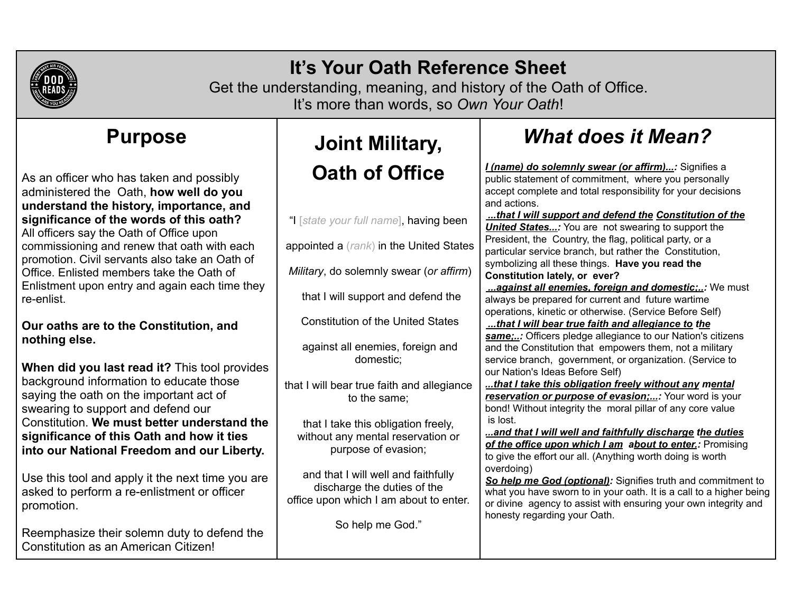

## **It's Your Oath Reference Sheet**

Get the understanding, meaning, and history of the Oath of Office. It's more than words, so *Own Your Oath*!

### **Purpose**

As an officer who has taken and possibly administered the Oath, **how well do you understand the history, importance, and significance of the words of this oath?** All officers say the Oath of Office upon commissioning and renew that oath with each promotion. Civil servants also take an Oath of Office. Enlisted members take the Oath of Enlistment upon entry and again each time they re-enlist.

#### **Our oaths are to the Constitution, and nothing else.**

**When did you last read it?** This tool provides background information to educate those saying the oath on the important act of swearing to support and defend our Constitution. **We must better understand the significance of this Oath and how it ties into our National Freedom and our Liberty.**

Use this tool and apply it the next time you are asked to perform a re-enlistment or officer promotion.

Reemphasize their solemn duty to defend the Constitution as an American Citizen!

# **Joint Military, Oath of Office**

"I [*state your full name*], having been appointed a (*rank*) in the United States *Military*, do solemnly swear (*or affirm*) that I will support and defend the Constitution of the United States against all enemies, foreign and domestic; that I will bear true faith and allegiance to the same; that I take this obligation freely, without any mental reservation or purpose of evasion; and that I will well and faithfully discharge the duties of the office upon which I am about to enter. is lost. overdoing)

# *What does it Mean?*

*I (name) do solemnly swear (or affirm)...:* Signifies a public statement of commitment, where you personally accept complete and total responsibility for your decisions and actions.

*...that I will support and defend the Constitution of the United States...:* You are not swearing to support the President, the Country, the flag, political party, or a particular service branch, but rather the Constitution, symbolizing all these things. **Have you read the Constitution lately, or ever?**

*...against all enemies, foreign and domestic;..:* We must always be prepared for current and future wartime operations, kinetic or otherwise. (Service Before Self)

*...that I will bear true faith and allegiance to the same;..:* Officers pledge allegiance to our Nation's citizens and the Constitution that empowers them, not a military service branch, government, or organization. (Service to our Nation's Ideas Before Self)

*...that I take this obligation freely without any mental reservation or purpose of evasion;...:* Your word is your bond! Without integrity the moral pillar of any core value

*...and that I will well and faithfully discharge the duties of the office upon which I am about to enter.:* Promising to give the effort our all. (Anything worth doing is worth

*So help me God (optional):* Signifies truth and commitment to what you have sworn to in your oath. It is a call to a higher being or divine agency to assist with ensuring your own integrity and honesty regarding your Oath.

So help me God."